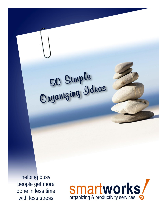# 50 Simple<br>Organizing Ideas

helping busy people get more done in less time with less stress

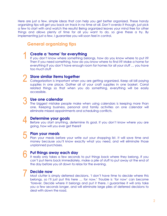Here are just a few, simple ideas that can help you get better organized. These handy organizing tips will get you back on track in no time at all. Don't overdo it though, just pick a few to start with and watch the results! Being organized leaves your mind free for other things and allows plenty of time for all you want to do, so give these a try. By implementing just a few, I guarantee you will soon feel in control.

# **General organizing tips**

# 1 **Create a 'home' for everything**

If you don't know where something belongs, how do you know where to put it? Then if you need something, how do you know where to find it? Make a home for everything If you don't have enough room for homes for all your stuff … you have too much stuff

# **Store similar items together**

2 Store similar items together<br>Categorization is important when you are getting organized. Keep all bill paying supplies in one place. Gather all of your craft supplies in one basket. Corral related things so that when you do something, everything will be easily accessible.

# 3 **Use one calendar**

The biggest mistake people make when using calendars is keeping more than one. Keeping business, personal and family activities on one calendar will eliminate missed appointments and scheduling conflicts.

# 4 **Determine your goals**

Before you start anything, determine its goal. If you don't know where you are going, how will you ever get there?

5

7

## **Plan your meals**

Plan your meals before your write out your shopping list. It will save time and money because you'll know exactly what you need, and will eliminate those unplanned purchases.

# 6 **Put things away each day**

It really only takes a few seconds to put things back where they belong. If you can't put items back immediately, make a pile of stuff to put away at the end of the day before you sit down to relax for the evening.

## **Decide now**

Most clutter is simply deferred decisions. 'I don't have time to decide where this belongs, so I'll just put this here … for now.' Trouble is 'for now' can become 'forever. Decide where it belongs and put it there. I guarantee it will only take you a few seconds longer, and will eliminate large piles of deferred decisions to deal with down the road.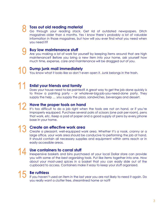# 8

# **Toss out old reading material**

Go through your reading stack. Get rid of outdated newspapers. Ditch magazines older than 6 months. Yes I know there's probably a lot of valuable information in those magazines, but how will you ever find what you need when you need it?

# 9 **Buy low maintenance stuff**

Are you making a lot of work for yourself by keeping items around that are high maintenance? Before you bring a new item into your home, ask yourself how much time, expense, care and maintenance will be dragged out of you.

# 10 **Dump junk mail immediately**

You know what it looks like so don't even open it. Junk belongs in the trash.

# **Enlist your friends and family**

Does your house need to be painted? A great way to get the job done quickly is to throw a painting party – or whatever-big-job-you-need-done party. They supply the help … you supply the pizza, sandwiches, beverages and dessert.

# **Have the proper tools on hand**

It's too difficult to do a job right when the tools are not on hand, or if you're improperly equipped. Purchase several pairs of scissors (one pair per room), pens that work, etc. Keep a pad of paper and a good supply of pens by every phone base in your home.

# 13 **Create an effective work area**

Create a pleasant, well-equipped work area. Whether it's a nook, cranny or a large office, your work area should be conducive to performing the job at hand. It should contain all necessary supplies and equipment within arms reach or in easily accessible areas.

14 Use containers to corral stuff<br>Inexpensive baskets and bins purchased at your local Dollar store can provide you with some of the best organizing tools. Put like items together into one. How about your most-used spices in a basket that you can easily slide out of the cupboard to access. Containers make it easy to keep your stuff organized.

# 15 **Be ruthless**

If you haven't used an item in the last year you are not likely to need it again. Do you really want a clutter free, streamlined home or not?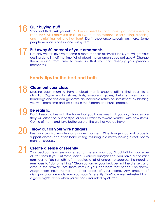# **Quit buying stuff**

Stop and think. Ask yourself: Do I really need this and have I got somewhere to keep this? Will I really use this? Do I want to be responsible for storing, cleaning and maintaining yet another item? Don't shop unconsciously anymore. Some people work on a one in, one out system.

# 17 **Put away 50 percent of your ornaments**

Not only will this give your home a more modern minimalist look, you will get your dusting done in half the time. What about the ornaments you put away? Change them around from time to time, so that you can re-enjoy your precious mementos.

# **Handy tips for the bed and bath**

# 18 **Clean out your closet**

Dressing each morning from a closet that is chaotic affirms that your life is chaotic. Organizers for shoes, hats, sweaters, gloves, belts, scarves, pants, handbags and ties can generate an incredible return on investment by blessing you with more time and less stress in the "search and hunt" process.

# 19 **Be realistic**

Don't keep clothes with the hope that you'll lose weight. If you do, chances are they will either be out of style, or you'll want to reward yourself with new items. Get rid of them, and take better care of the clothes you do have.

## 20 **Throw out all your wire hangers** Use only plastic, wooden or padded hangers. Wire hangers do not properly support clothes and often bend or sag, resulting in a messy-looking closet, not to mention creases.

# **Create a sense of serenity**

Your bedroom is where you retreat at the end your day. Shouldn't this space be clutter free? If your intimate space is visually disorganized, you have a constant reminder to "do something." It requires a lot of energy to suppress the nagging reminders to "do something." Clean out under your bed, behind the dressers and even in the drawers. Are there items in your bedroom that needn't be there? Assign them new 'homes' in other areas of your home. Any amount of disorganization detracts from your room's serenity. You'll awaken refreshed from a good nights' sleep when you're not surrounded by clutter.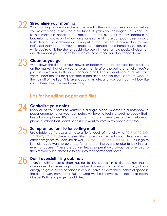# 22 **Streamline your morning**

Your morning routine should energize you for the day, not wear you out before you've even begun. Toss those old tubes of lipstick you no longer use. Experts tell us our make up needs to be replaced about every six months because of bacteria that grows on it – how long have some of those compacts been around for? Clear out your drawers and only put in what is essential to your daily routine. Half-used shampoo that you no longer use – donate it to a homeless shelter, and while you're at it, the shelter could also use all those sample packs of cleansers and shampoos you've been hoarding all these years. You don't need them.

23 Clean as you go<br>
Wipe down the tile after you shower, or better yet, there are excellent products on the market that allow you to spray the tile after showering and voila! You've just cut down your bathroom cleaning in half. Keep a container of disinfectant wipes under the sink for quick sparkle and shine. Use old dryer sheets to wipe up the hair off of the floor. This takes about a minute, and your bathroom will look like it's just been fresh cleaned every day!

# **Tips for handling paper and files**

# 24 **Centralize your notes**

Keep all of your notes to yourself in a single place, whether in a notebook, a paper organizer, or on your computer. My favorite tool is a spiral notebook that I keep by my phone. It's handy for all my notes, messages and miscellaneous phone numbers that I don't necessarily want to store in my phone directory.

# 25 **Set up an action file for sorting mail**

Use a table top file box and make a file for each of the following: TO PAY, TO DO, TO READ, TO FILE. Use whatever titles make most sense to you. Here are a few other categories you can use as well: TO PAY, TO ANSWER, TO ATTEND (as in go to i.e. tickets you want to purchase for an upcoming event, or also to look into an event or course). These are active files, so paper should always be attended to then moved out of these file folders into their permanent home.

# 26 **Don't overstuff filing cabinets**

There's nothing worse than having to file papers in a file cabinet that is overloaded. Leave enough room in the drawers so that you're not using all your energy to get a piece of paper in or out. Leave at least three inches of space in the file drawer. Remember 80% of what we file is never even looked at again! Maybe it's time to purge the old files.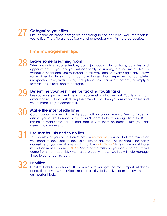# **Categorize your files**

First, decide on broad categories according to the particular work materials in your office. Then, file alphabetically or chronologically within these categories.

# **Time management tips**

28 Leave some breathing room<br>28 When organizing your schedule, don't jam-pack it full of tasks, activities and appointments. If you do, you will constantly be running around like a chicken without a head and you're bound to fall way behind every single day. Allow some time for things that may take longer than expected to complete, unexpected tasks, traffic delays, telephone hold, thinking moments, or simply a few minutes to relax and re-energize.

29 Determine your best time for tackling tough tasks<br>Use your most productive time to do your most productive work. Tackle your most difficult or important work during the time of day when you are at your best and you're more likely to complete it.

30 Make the most of idle time<br>
Catch up on your reading while you wait for appointments. Keep a folder of articles you'd like to read but just don't seem to have enough time to. Been itching to read some educational books? Get them on audio – turn your car stereo into a university.

31 **Use master lists and to do lists** Take control of your tasks. Here's how: A master list consists of all the tasks that you need to do, want to do, would like to do, etc. This list should be easily accessible as you are always adding to it. A daily 'to do' list is made up of those items that must be done TODAY. Some of the tasks on your daily 'to do' list will come from the master list. When used properly, these two lists will help manage those to out-of-control do's.

# 32 **Prioritize**

Prioritize tasks for each day. Then make sure you get the most important things done. If necessary, set aside time for priority tasks only. Learn to say "no" to unimportant tasks.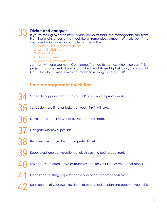# 33 **Divide and conquer**

If you're feeling overwhelmed, divide complex tasks into manageable sub-tasks. Planning a dinner party may feel like a tremendous amount of work, but if the steps are broken down into smaller segments like …

- 1. Make a list of people to invite;
- 2. Select invitations;
- 3. Mail invitations;
- 4. Plan party menu;
- 5. Shop for ingredients, etc.

Just start with one segment. Get it done. Then go to the next when you can. This is project management. Have a look at some of those big tasks on your to do list. Could they be broken down into small and manageable pieces?

# **Time management quick tips**

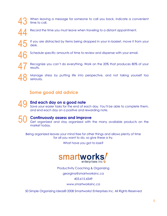When leaving a message for someone to call you back, indicate a convenient time to call.



Record the time you must leave when traveling to a distant appointment.

If you are distracted by items being dropped in your in-basket, move it from your desk.

Schedule specific amounts of time to review and dispense with your email.

47 Recognize you can't do everything. Work on the 20% that produces 80% of your results.

48 Manage stress by putting life into perspective, and not taking yourself too seriously.

# **Some good old advice**

49 **End each day on a good note** Save your easier tasks for the end of each day. You'll be able to complete them, and end each day on a positive and rewarding note.

50 **Continuously assess and improve** Get organized and stay organized with the many available products on the market today.

Being organized leaves your mind free for other things and allows plenty of time for all you want to do, so give these a try.

What have you got to lose?



Productivity Coaching & Organizing

georgina@smartworksinc.ca

403.615.4349

www.smartworksinc.ca

50 Simple Organizing Ideas© 2008 Smartworks! Enterprises Inc. All Rights Reserved